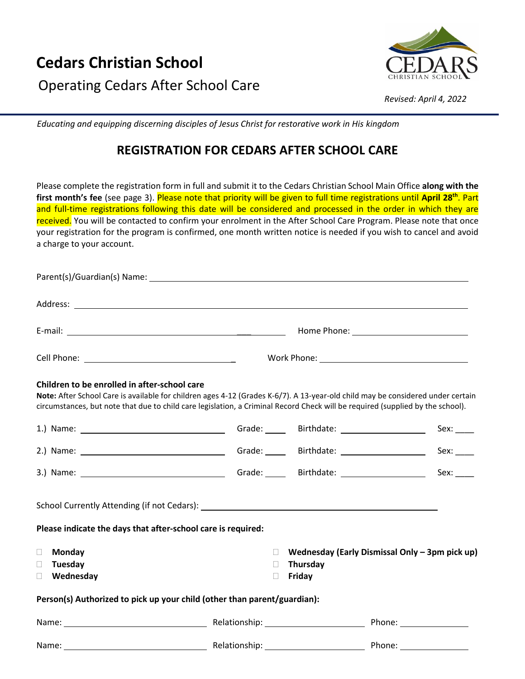

*Revised: April 4, 2022*

 *Educating and equipping discerning disciples of Jesus Christ for restorative work in His kingdom*

# **REGISTRATION FOR CEDARS AFTER SCHOOL CARE**

Please complete the registration form in full and submit it to the Cedars Christian School Main Office **along with the first month's fee** (see page 3). Please note that priority will be given to full time registrations until **April 28th**. Part and full-time registrations following this date will be considered and processed in the order in which they are received. You will be contacted to confirm your enrolment in the After School Care Program. Please note that once your registration for the program is confirmed, one month written notice is needed if you wish to cancel and avoid a charge to your account.

| Children to be enrolled in after-school care                         |                                                                          | Note: After School Care is available for children ages 4-12 (Grades K-6/7). A 13-year-old child may be considered under certain<br>circumstances, but note that due to child care legislation, a Criminal Record Check will be required (supplied by the school). |
|----------------------------------------------------------------------|--------------------------------------------------------------------------|-------------------------------------------------------------------------------------------------------------------------------------------------------------------------------------------------------------------------------------------------------------------|
|                                                                      |                                                                          | Sex:                                                                                                                                                                                                                                                              |
|                                                                      |                                                                          | Sex:                                                                                                                                                                                                                                                              |
|                                                                      |                                                                          | Sex:                                                                                                                                                                                                                                                              |
| Please indicate the days that after-school care is required:         |                                                                          |                                                                                                                                                                                                                                                                   |
| Monday<br>$\Box$<br>Tuesday<br>$\mathbb{R}^n$<br>Wednesday<br>$\Box$ | П.<br>Thursday<br>П<br>Friday<br>$\Box$                                  | Wednesday (Early Dismissal Only - 3pm pick up)                                                                                                                                                                                                                    |
|                                                                      | Person(s) Authorized to pick up your child (other than parent/guardian): |                                                                                                                                                                                                                                                                   |
|                                                                      |                                                                          |                                                                                                                                                                                                                                                                   |
|                                                                      |                                                                          |                                                                                                                                                                                                                                                                   |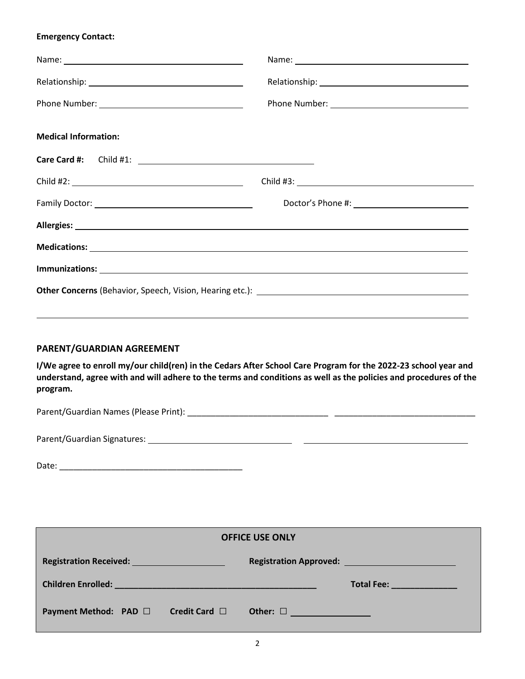#### **Emergency Contact:**

|                             | Name: Name and the second contract of the second contract of the second contract of the second contract of the second contract of the second contract of the second contract of the second contract of the second contract of |  |  |
|-----------------------------|-------------------------------------------------------------------------------------------------------------------------------------------------------------------------------------------------------------------------------|--|--|
|                             |                                                                                                                                                                                                                               |  |  |
|                             |                                                                                                                                                                                                                               |  |  |
| <b>Medical Information:</b> |                                                                                                                                                                                                                               |  |  |
|                             |                                                                                                                                                                                                                               |  |  |
|                             |                                                                                                                                                                                                                               |  |  |
|                             |                                                                                                                                                                                                                               |  |  |
|                             |                                                                                                                                                                                                                               |  |  |
|                             |                                                                                                                                                                                                                               |  |  |
|                             |                                                                                                                                                                                                                               |  |  |
|                             |                                                                                                                                                                                                                               |  |  |

# **PARENT/GUARDIAN AGREEMENT**

**I/We agree to enroll my/our child(ren) in the Cedars After School Care Program for the 2022-23 school year and understand, agree with and will adhere to the terms and conditions as well as the policies and procedures of the program.**

Parent/Guardian Names (Please Print): \_\_\_\_\_\_\_\_\_\_\_\_\_\_\_\_\_\_\_\_\_\_\_\_\_\_\_\_\_\_ \_\_\_\_\_\_\_\_\_\_\_\_\_\_\_\_\_\_\_\_\_\_\_\_\_\_\_\_\_\_

Parent/Guardian Signatures:

| Date: |
|-------|
|-------|

| <b>OFFICE USE ONLY</b>                     |                    |               |                                                                                                                                                                                                                                      |  |  |
|--------------------------------------------|--------------------|---------------|--------------------------------------------------------------------------------------------------------------------------------------------------------------------------------------------------------------------------------------|--|--|
| <b>Registration Received: Example 2014</b> |                    |               |                                                                                                                                                                                                                                      |  |  |
|                                            |                    |               | Total Fee: <b>with the contract of the contract of the contract of the contract of the contract of the contract of the contract of the contract of the contract of the contract of the contract of the contract of the contract </b> |  |  |
| Payment Method: PAD □                      | Credit Card $\Box$ | Other: $\Box$ |                                                                                                                                                                                                                                      |  |  |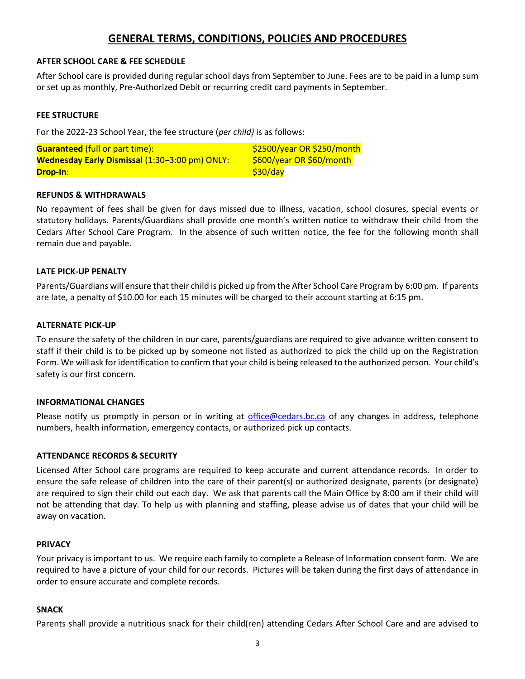# **GENERAL TERMS, CONDITIONS, POLICIES AND PROCEDURES**

#### **AFTER SCHOOL CARE & FEE SCHEDULE**

After School care is provided during regular school days from September to June. Fees are to be paid in a lump sum or set up as monthly, Pre-Authorized Debit or recurring credit card payments in September.

# **FEE STRUCTURE**

For the 2022-23 School Year, the fee structure (*per child)* is as follows:

| <b>Guaranteed (full or part time):</b>                | $$2500/year$ OR \$250/month |  |  |
|-------------------------------------------------------|-----------------------------|--|--|
| <b>Wednesday Early Dismissal (1:30–3:00 pm) ONLY:</b> | \$600/year OR \$60/month    |  |  |
| Drop-In:                                              | \$30/day                    |  |  |

# **REFUNDS & WITHDRAWALS**

No repayment of fees shall be given for days missed due to illness, vacation, school closures, special events or statutory holidays. Parents/Guardians shall provide one month's written notice to withdraw their child from the Cedars After School Care Program. In the absence of such written notice, the fee for the following month shall remain due and payable.

#### **LATE PICK-UP PENALTY**

Parents/Guardians will ensure that their child is picked up from the After School Care Program by 6:00 pm. If parents are late, a penalty of \$10.00 for each 15 minutes will be charged to their account starting at 6:15 pm.

#### **ALTERNATE PICK-UP**

To ensure the safety of the children in our care, parents/guardians are required to give advance written consent to staff if their child is to be picked up by someone not listed as authorized to pick the child up on the Registration Form. We will ask for identification to confirm that your child is being released to the authorized person. Your child's safety is our first concern.

#### **INFORMATIONAL CHANGES**

Please notify us promptly in person or in writing at [office@cedars.bc.ca](mailto:office@cedars.bc.ca) of any changes in address, telephone numbers, health information, emergency contacts, or authorized pick up contacts.

#### **ATTENDANCE RECORDS & SECURITY**

Licensed After School care programs are required to keep accurate and current attendance records. In order to ensure the safe release of children into the care of their parent(s) or authorized designate, parents (or designate) are required to sign their child out each day. We ask that parents call the Main Office by 8:00 am if their child will not be attending that day. To help us with planning and staffing, please advise us of dates that your child will be away on vacation.

#### **PRIVACY**

Your privacy is important to us. We require each family to complete a Release of Information consent form. We are required to have a picture of your child for our records. Pictures will be taken during the first days of attendance in order to ensure accurate and complete records.

#### **SNACK**

Parents shall provide a nutritious snack for their child(ren) attending Cedars After School Care and are advised to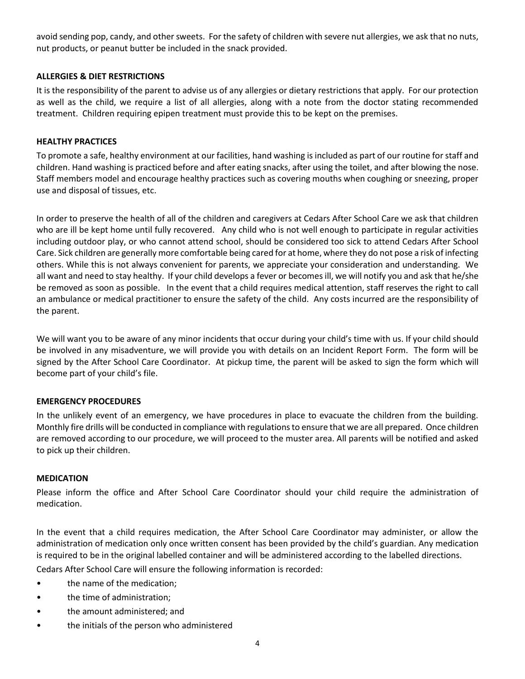avoid sending pop, candy, and other sweets. For the safety of children with severe nut allergies, we ask that no nuts, nut products, or peanut butter be included in the snack provided.

# **ALLERGIES & DIET RESTRICTIONS**

It is the responsibility of the parent to advise us of any allergies or dietary restrictions that apply. For our protection as well as the child, we require a list of all allergies, along with a note from the doctor stating recommended treatment. Children requiring epipen treatment must provide this to be kept on the premises.

# **HEALTHY PRACTICES**

To promote a safe, healthy environment at our facilities, hand washing is included as part of our routine for staff and children. Hand washing is practiced before and after eating snacks, after using the toilet, and after blowing the nose. Staff members model and encourage healthy practices such as covering mouths when coughing or sneezing, proper use and disposal of tissues, etc.

In order to preserve the health of all of the children and caregivers at Cedars After School Care we ask that children who are ill be kept home until fully recovered. Any child who is not well enough to participate in regular activities including outdoor play, or who cannot attend school, should be considered too sick to attend Cedars After School Care. Sick children are generally more comfortable being cared for at home, where they do not pose a risk of infecting others. While this is not always convenient for parents, we appreciate your consideration and understanding. We all want and need to stay healthy. If your child develops a fever or becomes ill, we will notify you and ask that he/she be removed as soon as possible. In the event that a child requires medical attention, staff reserves the right to call an ambulance or medical practitioner to ensure the safety of the child. Any costs incurred are the responsibility of the parent.

We will want you to be aware of any minor incidents that occur during your child's time with us. If your child should be involved in any misadventure, we will provide you with details on an Incident Report Form. The form will be signed by the After School Care Coordinator. At pickup time, the parent will be asked to sign the form which will become part of your child's file.

#### **EMERGENCY PROCEDURES**

In the unlikely event of an emergency, we have procedures in place to evacuate the children from the building. Monthly fire drills will be conducted in compliance with regulations to ensure that we are all prepared. Once children are removed according to our procedure, we will proceed to the muster area. All parents will be notified and asked to pick up their children.

#### **MEDICATION**

Please inform the office and After School Care Coordinator should your child require the administration of medication.

In the event that a child requires medication, the After School Care Coordinator may administer, or allow the administration of medication only once written consent has been provided by the child's guardian. Any medication is required to be in the original labelled container and will be administered according to the labelled directions.

Cedars After School Care will ensure the following information is recorded:

- the name of the medication;
- the time of administration;
- the amount administered; and
- the initials of the person who administered